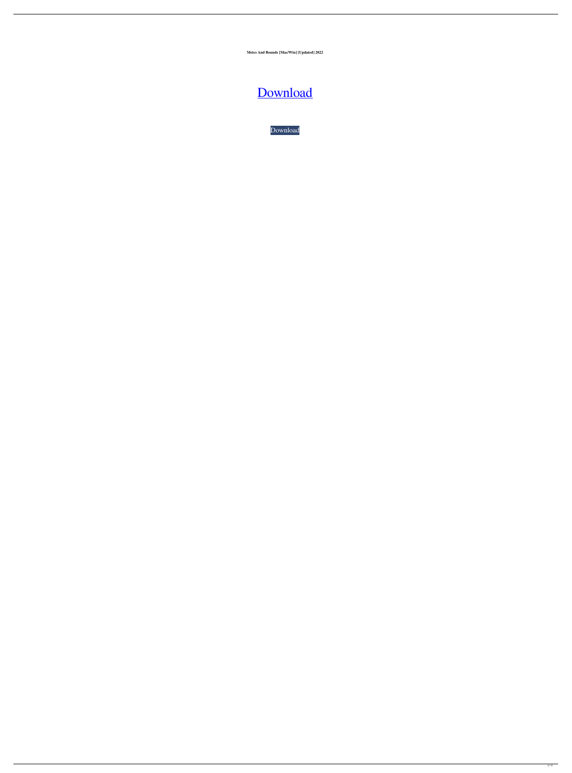**Metes And Bounds [Mac/Win] [Updated] 2022**

# [Download](http://evacdir.com/ZG93bmxvYWR8aDZkTld0MGRIeDhNVFkxTkRVeU1qRXhNSHg4TWpVNU1IeDhLRTBwSUZkdmNtUndjbVZ6Y3lCYldFMU1VbEJESUZZeUlGQkVSbDA/TWV0ZXMgYW5kIEJvdW5kcwTWV/elizabeths.acknowlege.debord.ensign./banners)

[Download](http://evacdir.com/ZG93bmxvYWR8aDZkTld0MGRIeDhNVFkxTkRVeU1qRXhNSHg4TWpVNU1IeDhLRTBwSUZkdmNtUndjbVZ6Y3lCYldFMU1VbEJESUZZeUlGQkVSbDA/TWV0ZXMgYW5kIEJvdW5kcwTWV/elizabeths.acknowlege.debord.ensign./banners)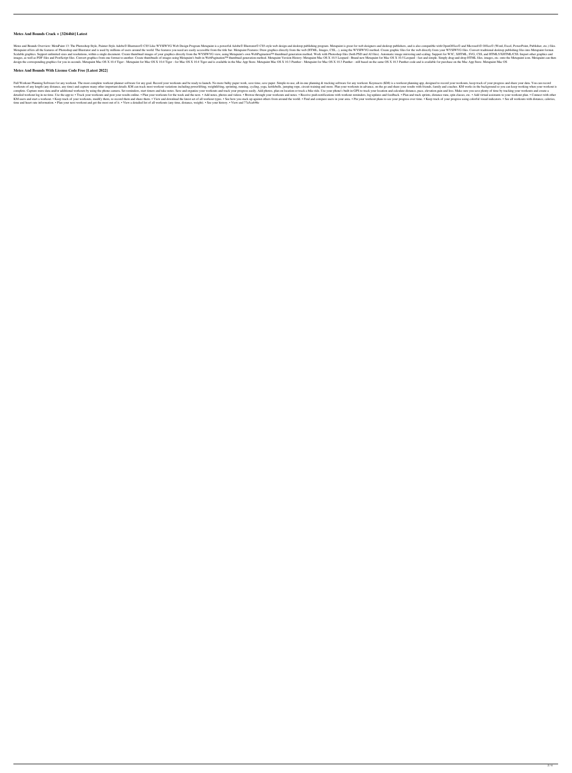### **Metes And Bounds Crack + [32|64bit] Latest**

Metes and Bounds Overview: MetaPaint 13: The Photoshop-Style, Painter-Style Adobe® Illustrator® CS5 Like WYSIWYG Web Design Program Metapaint is a powerful Adobe® Illustrator® CS5-style web designers and desktop publishers Metapaint offers all the features of Photoshop and Illustrator and is used by millions of users around the world. The features you need are easily accessible from the title bar. Metapaint Features: Draw graphic files for t Scalable graphics. Support unlimited sizes and resolutions, within a single document. Create thumbnail images of your graphics directly from the WYSIWYG view, using Metapaint's own WebPagination™ thumbnail generation meth images, as well as PDF files and PostScript files. Convert graphics from one format to another. Create thumbnails of images using Metapaint's built-in WebPagination™ thumbnail generation method. Metapaint for Mac OS X 10. design the corresponding graphics for you in seconds. Metapaint Mac OS X 10.4 Tiger - Metapaint for Mac OS X 10.4 Tiger - for Mac OS X 10.4 Tiger - for Mac OS X 10.4 Tiger and is available in the Mac OS X 10.3 Panther - st

#### **Metes And Bounds With License Code Free [Latest 2022]**

Full Workout Planning Software for any workout. The most complete workout planner software for any goal. Record your workouts and be ready to launch. No more bulky paper work, save time, save paper. Simple-to-use, all-in-o workouts of any length (any distance, any time) and capture many other important details. KM can track most workout variations including powerlifting, weightlifting, sprinting, running, cycling, yoga, kettlebells, jumping complete. Capture more data and/or additional workouts by using the phone camera. Set reminders, start timers and take notes. Save and organize your workouts and track your progress easily. Add photos, plan on location and etailed workout log in no time. Use the app to: . Track your workouts and post your results online. . Plan your workouts for the week and the next. . Add notes, photos and videos.. . Browse through your workout reminders, KM users and start a workout. • Keep track of your workouts, modify them, re-record them and share them. • View and download the latest set of all workout types. • See how you stack up against others from around the world. time and heart rate information. • Plan your next workout and get the most out of it. • View a detailed list of all workouts (any time, distance, weight). • See your history. • View and 77a5ca646e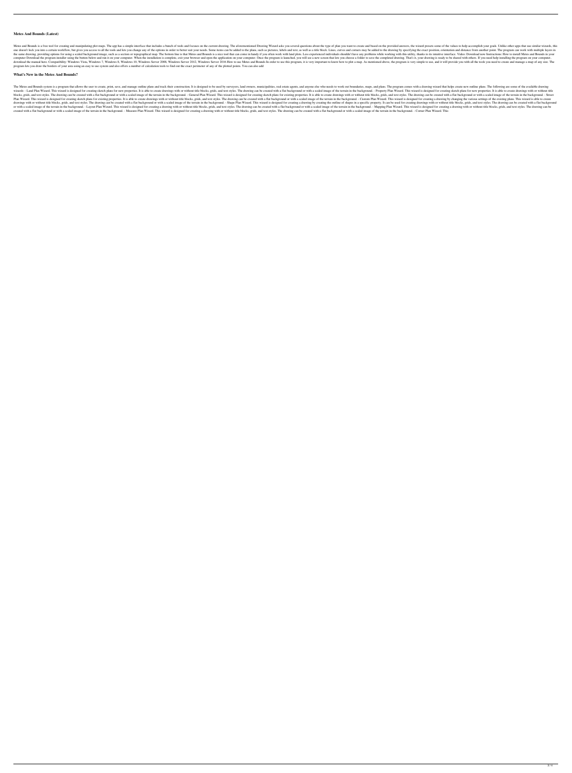### **Metes And Bounds (Latest)**

Metes and Bounds is a free tool for creating and manipulating plot maps. The app has a simple interface that includes a bunch of tools and focuses on the current drawing. The aforementioned Drawing Wizard asks you several one doesn't lock you into a certain workflow, but gives you access to all the tools and lets you change any of the options in order to better suit your needs. Some items can be added to the plans, such as pictures, labels the same drawing, providing options for using a scaled background image, such as a section or topographical map. The bottom line is that Metes and Bounds is a nice tool that can come in handy if you often work with land pl computer Download the program installer using the button below and run it on your computer. When the installation is complete, exit your browser and open the application on your computer. Once the program is launched, you download the manual here. Compatibility: Windows Vista, Windows 7, Windows 8, Windows 8, Windows 10, Windows Server 2008, Windows Server 2012, Windows Server 2016 How to use Metes and Bounds In order to use this program, i program lets you draw the borders of your area using an easy to use system and also offers a number of calculation tools to find out the exact perimeter of any of the plotted points. You can also add

## **What's New in the Metes And Bounds?**

The Metes and Bounds system is a program that allows the user to create, print, save, and manage outline plans and track their construction. It is designed to be used by surveyors, land owners, municipalities, real estate wizards: - Land Plan Wizard is designed for creating sketch plans for new properties. It is able to create drawings with or without title blocks, grids, and text styles. The drawing can be created with a flat background. blocks, grids, and text styles. The drawing can be created with a flat background or with a flat background or with a scaled image of the terrain in the background. - General Plan Wizard. This wizard is designed for creati Plan Wizard. This wizard is designed for creating sketch plans for existing properties. It is able to create drawings with or without title blocks, grids, and text styles. The drawing can be created with a flat background. drawings with or without title blocks, grids, and text styles. The drawing can be created with a flat background or with a scaled image of the terrain in the background. - Shape Plan Wizard. This wizard is designed for cre or with a scaled image of the terrain in the background. - Layout Plan Wizard. This wizard is designed for creating a drawing with or without title blocks, grids, and text styles. The drawing can be created with a flat bac created with a flat background or with a scaled image of the terrain in the background. - Measure Plan Wizard. This wizard is designed for creating a drawing with or without title blocks, grids, and text styles. The drawin